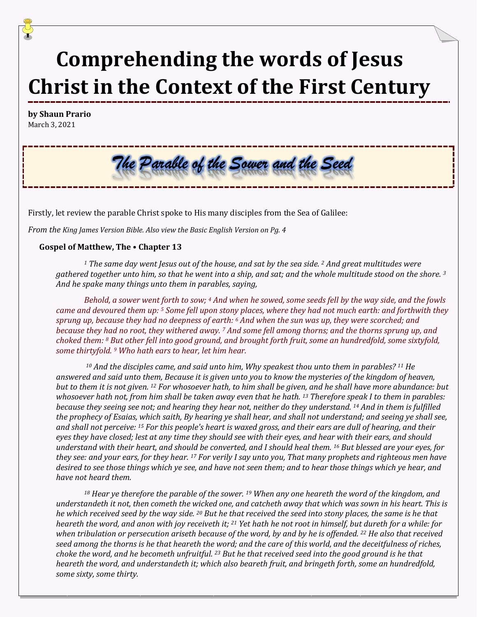# **Comprehending the words of Jesus Christ in the Context of the First Century**

**by Shaun Prario** March 3, 2021

# The Parable of the Sower and the Seed

Firstly, let review the parable Christ spoke to His many disciples from the Sea of Galilee:

*From the King James Version Bible. Also view the Basic English Version on Pg. 4*

#### **Gospel of Matthew, The • Chapter 13**

*<sup>1</sup> The same day went Jesus out of the house, and sat by the sea side. <sup>2</sup> And great multitudes were gathered together unto him, so that he went into a ship, and sat; and the whole multitude stood on the shore. <sup>3</sup> And he spake many things unto them in parables, saying,* 

*Behold, a sower went forth to sow; <sup>4</sup> And when he sowed, some seeds fell by the way side, and the fowls came and devoured them up: <sup>5</sup> Some fell upon stony places, where they had not much earth: and forthwith they sprung up, because they had no deepness of earth: <sup>6</sup> And when the sun was up, they were scorched; and because they had no root, they withered away. <sup>7</sup> And some fell among thorns; and the thorns sprung up, and choked them: <sup>8</sup> But other fell into good ground, and brought forth fruit, some an hundredfold, some sixtyfold, some thirtyfold. <sup>9</sup> Who hath ears to hear, let him hear.*

*<sup>10</sup> And the disciples came, and said unto him, Why speakest thou unto them in parables? <sup>11</sup> He answered and said unto them, Because it is given unto you to know the mysteries of the kingdom of heaven, but to them it is not given. <sup>12</sup> For whosoever hath, to him shall be given, and he shall have more abundance: but whosoever hath not, from him shall be taken away even that he hath. <sup>13</sup> Therefore speak I to them in parables: because they seeing see not; and hearing they hear not, neither do they understand. <sup>14</sup> And in them is fulfilled the prophecy of Esaias, which saith, By hearing ye shall hear, and shall not understand; and seeing ye shall see, and shall not perceive: <sup>15</sup> For this people's heart is waxed gross, and their ears are dull of hearing, and their eyes they have closed; lest at any time they should see with their eyes, and hear with their ears, and should understand with their heart, and should be converted, and I should heal them. <sup>16</sup> But blessed are your eyes, for they see: and your ears, for they hear. <sup>17</sup> For verily I say unto you, That many prophets and righteous men have desired to see those things which ye see, and have not seen them; and to hear those things which ye hear, and have not heard them.* 

*<sup>18</sup> Hear ye therefore the parable of the sower. <sup>19</sup> When any one heareth the word of the kingdom, and understandeth it not, then cometh the wicked one, and catcheth away that which was sown in his heart. This is he which received seed by the way side. <sup>20</sup> But he that received the seed into stony places, the same is he that heareth the word, and anon with joy receiveth it; <sup>21</sup> Yet hath he not root in himself, but dureth for a while: for when tribulation or persecution ariseth because of the word, by and by he is offended. <sup>22</sup> He also that received seed among the thorns is he that heareth the word; and the care of this world, and the deceitfulness of riches, choke the word, and he becometh unfruitful. <sup>23</sup> But he that received seed into the good ground is he that heareth the word, and understandeth it; which also beareth fruit, and bringeth forth, some an hundredfold, some sixty, some thirty.*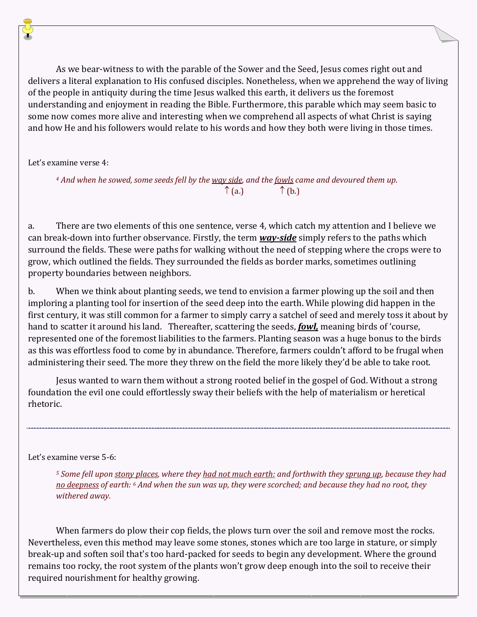As we bear-witness to with the parable of the Sower and the Seed, Jesus comes right out and delivers a literal explanation to His confused disciples. Nonetheless, when we apprehend the way of living of the people in antiquity during the time Jesus walked this earth, it delivers us the foremost understanding and enjoyment in reading the Bible. Furthermore, this parable which may seem basic to some now comes more alive and interesting when we comprehend all aspects of what Christ is saying and how He and his followers would relate to his words and how they both were living in those times.

Let's examine verse 4:

*<sup>4</sup> And when he sowed, some seeds fell by the way side, and the fowls came and devoured them up.*  $\uparrow$  (a.)  $\uparrow$  (b.)

a. There are two elements of this one sentence, verse 4, which catch my attention and I believe we can break-down into further observance. Firstly, the term *way-side* simply refers to the paths which surround the fields. These were paths for walking without the need of stepping where the crops were to grow, which outlined the fields. They surrounded the fields as border marks, sometimes outlining property boundaries between neighbors.

b. When we think about planting seeds, we tend to envision a farmer plowing up the soil and then imploring a planting tool for insertion of the seed deep into the earth. While plowing did happen in the first century, it was still common for a farmer to simply carry a satchel of seed and merely toss it about by hand to scatter it around his land. Thereafter, scattering the seeds, *fowl,* meaning birds of 'course, represented one of the foremost liabilities to the farmers. Planting season was a huge bonus to the birds as this was effortless food to come by in abundance. Therefore, farmers couldn't afford to be frugal when administering their seed. The more they threw on the field the more likely they'd be able to take root.

Jesus wanted to warn them without a strong rooted belief in the gospel of God. Without a strong foundation the evil one could effortlessly sway their beliefs with the help of materialism or heretical rhetoric.

## Let's examine verse 5-6:

*<sup>5</sup> Some fell upon stony places, where they had not much earth: and forthwith they sprung up, because they had no deepness of earth: <sup>6</sup> And when the sun was up, they were scorched; and because they had no root, they withered away.*

When farmers do plow their cop fields, the plows turn over the soil and remove most the rocks. Nevertheless, even this method may leave some stones, stones which are too large in stature, or simply break-up and soften soil that's too hard-packed for seeds to begin any development. Where the ground remains too rocky, the root system of the plants won't grow deep enough into the soil to receive their required nourishment for healthy growing.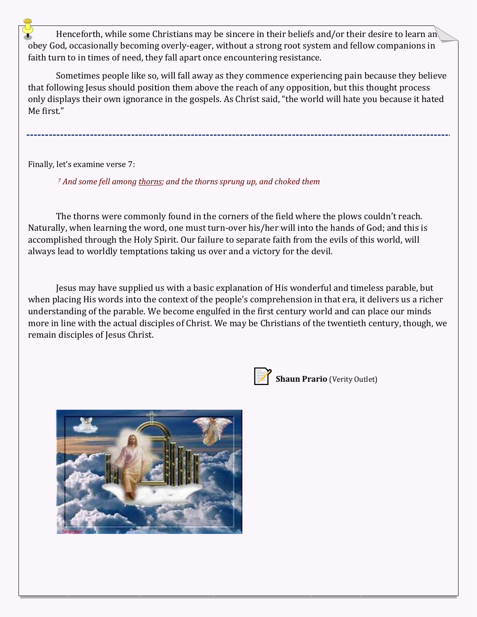Henceforth, while some Christians may be sincere in their beliefs and/or their desire to learn and obey God, occasionally becoming overly-eager, without a strong root system and fellow companions in faith turn to in times of need, they fall apart once encountering resistance.

Sometimes people like so, will fall away as they commence experiencing pain because they believe that following Jesus should position them above the reach of any opposition, but this thought process only displays their own ignorance in the gospels. As Christ said, "the world will hate you because it hated Me first."

Finally, let's examine verse 7:

*<sup>7</sup> And some fell among thorns; and the thorns sprung up, and choked them*

The thorns were commonly found in the corners of the field where the plows couldn't reach. Naturally, when learning the word, one must turn-over his/her will into the hands of God; and this is accomplished through the Holy Spirit. Our failure to separate faith from the evils of this world, will always lead to worldly temptations taking us over and a victory for the devil.

Jesus may have supplied us with a basic explanation of His wonderful and timeless parable, but when placing His words into the context of the people's comprehension in that era, it delivers us a richer understanding of the parable. We become engulfed in the first century world and can place our minds more in line with the actual disciples of Christ. We may be Christians of the twentieth century, though, we remain disciples of Jesus Christ.



**Shaun Prario** (Verity Outlet)